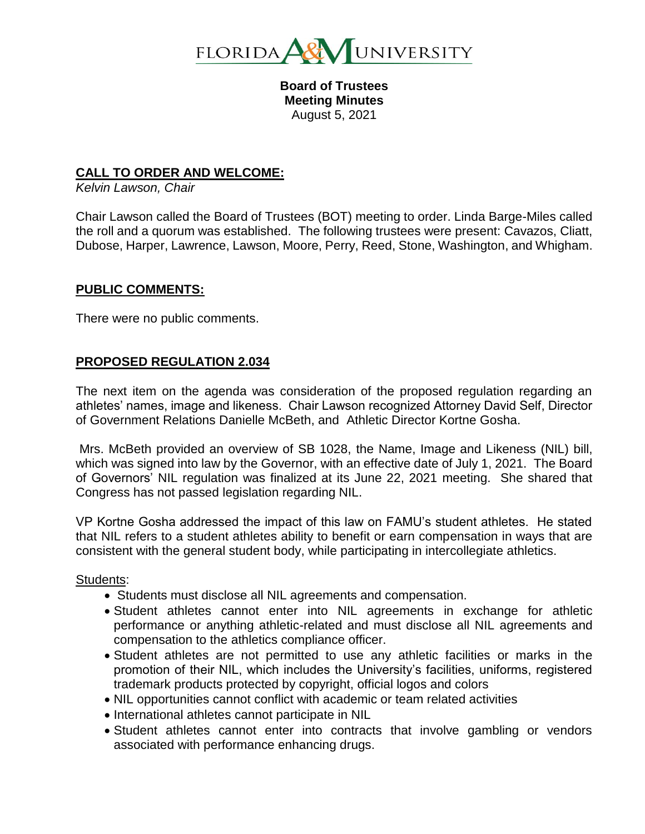

**Board of Trustees Meeting Minutes** August 5, 2021

### **CALL TO ORDER AND WELCOME:**

*Kelvin Lawson, Chair*

Chair Lawson called the Board of Trustees (BOT) meeting to order. Linda Barge-Miles called the roll and a quorum was established. The following trustees were present: Cavazos, Cliatt, Dubose, Harper, Lawrence, Lawson, Moore, Perry, Reed, Stone, Washington, and Whigham.

#### **PUBLIC COMMENTS:**

There were no public comments.

#### **PROPOSED REGULATION 2.034**

The next item on the agenda was consideration of the proposed regulation regarding an athletes' names, image and likeness. Chair Lawson recognized Attorney David Self, Director of Government Relations Danielle McBeth, and Athletic Director Kortne Gosha.

Mrs. McBeth provided an overview of SB 1028, the Name, Image and Likeness (NIL) bill, which was signed into law by the Governor, with an effective date of July 1, 2021. The Board of Governors' NIL regulation was finalized at its June 22, 2021 meeting. She shared that Congress has not passed legislation regarding NIL.

VP Kortne Gosha addressed the impact of this law on FAMU's student athletes. He stated that NIL refers to a student athletes ability to benefit or earn compensation in ways that are consistent with the general student body, while participating in intercollegiate athletics.

Students:

- Students must disclose all NIL agreements and compensation.
- Student athletes cannot enter into NIL agreements in exchange for athletic performance or anything athletic-related and must disclose all NIL agreements and compensation to the athletics compliance officer.
- Student athletes are not permitted to use any athletic facilities or marks in the promotion of their NIL, which includes the University's facilities, uniforms, registered trademark products protected by copyright, official logos and colors
- NIL opportunities cannot conflict with academic or team related activities
- International athletes cannot participate in NIL
- Student athletes cannot enter into contracts that involve gambling or vendors associated with performance enhancing drugs.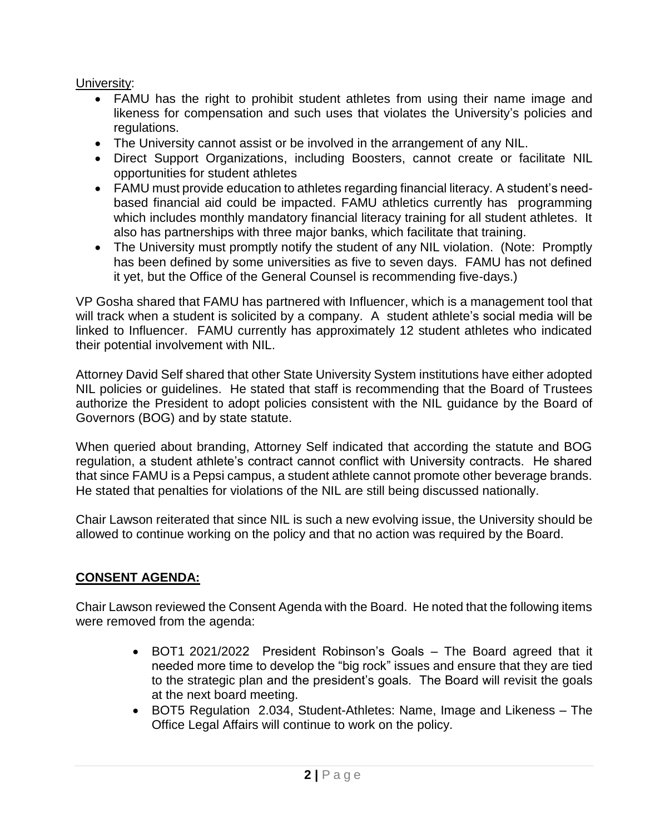University:

- FAMU has the right to prohibit student athletes from using their name image and likeness for compensation and such uses that violates the University's policies and regulations.
- The University cannot assist or be involved in the arrangement of any NIL.
- Direct Support Organizations, including Boosters, cannot create or facilitate NIL opportunities for student athletes
- FAMU must provide education to athletes regarding financial literacy. A student's needbased financial aid could be impacted. FAMU athletics currently has programming which includes monthly mandatory financial literacy training for all student athletes. It also has partnerships with three major banks, which facilitate that training.
- The University must promptly notify the student of any NIL violation. (Note: Promptly has been defined by some universities as five to seven days. FAMU has not defined it yet, but the Office of the General Counsel is recommending five-days.)

VP Gosha shared that FAMU has partnered with Influencer, which is a management tool that will track when a student is solicited by a company. A student athlete's social media will be linked to Influencer. FAMU currently has approximately 12 student athletes who indicated their potential involvement with NIL.

Attorney David Self shared that other State University System institutions have either adopted NIL policies or guidelines. He stated that staff is recommending that the Board of Trustees authorize the President to adopt policies consistent with the NIL guidance by the Board of Governors (BOG) and by state statute.

When queried about branding, Attorney Self indicated that according the statute and BOG regulation, a student athlete's contract cannot conflict with University contracts. He shared that since FAMU is a Pepsi campus, a student athlete cannot promote other beverage brands. He stated that penalties for violations of the NIL are still being discussed nationally.

Chair Lawson reiterated that since NIL is such a new evolving issue, the University should be allowed to continue working on the policy and that no action was required by the Board.

# **CONSENT AGENDA:**

Chair Lawson reviewed the Consent Agenda with the Board. He noted that the following items were removed from the agenda:

- BOT1 2021/2022 President Robinson's Goals The Board agreed that it needed more time to develop the "big rock" issues and ensure that they are tied to the strategic plan and the president's goals. The Board will revisit the goals at the next board meeting.
- BOT5 Regulation 2.034, Student-Athletes: Name, Image and Likeness The Office Legal Affairs will continue to work on the policy.